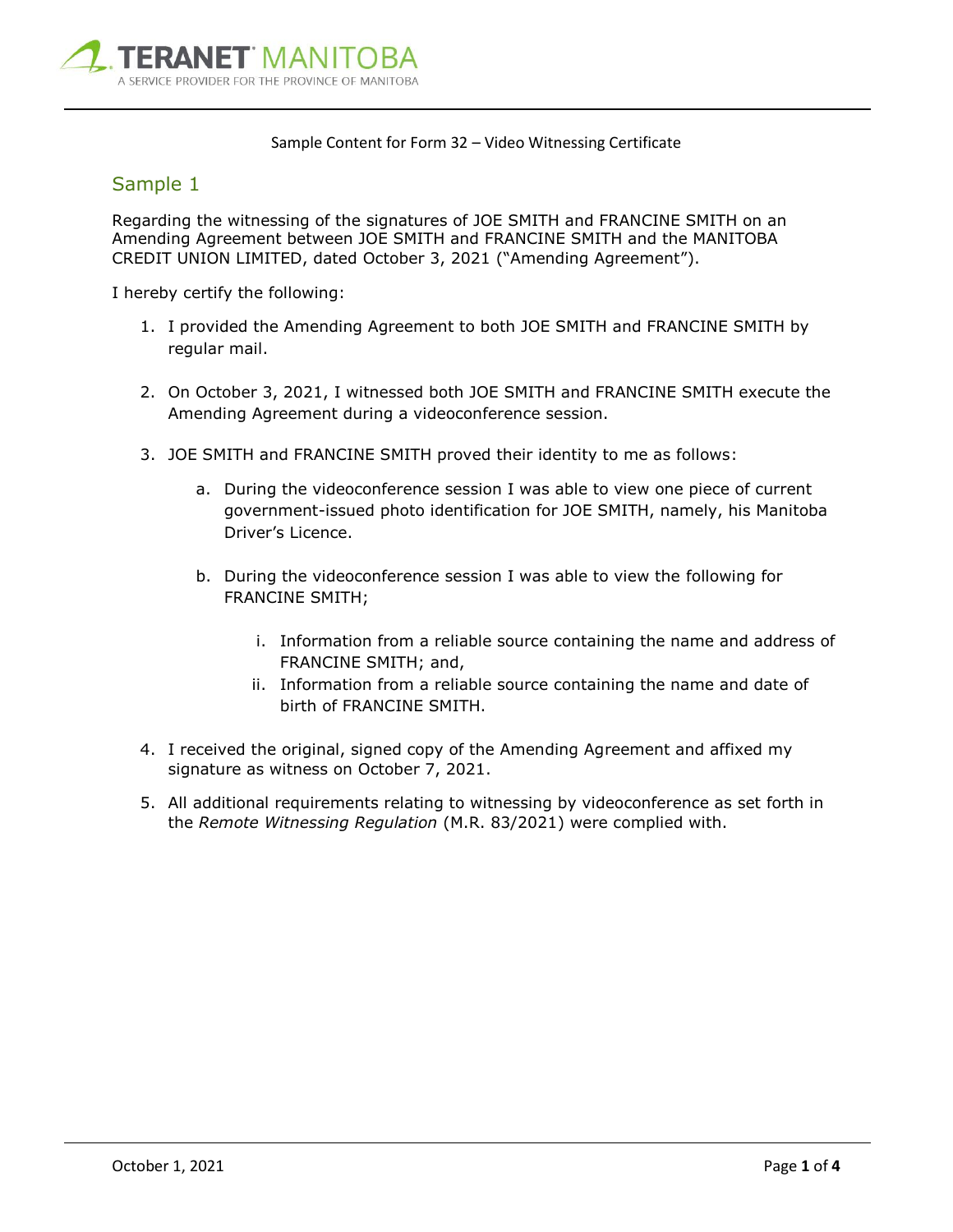

#### Sample Content for Form 32 – Video Witnessing Certificate

### Sample 1

Regarding the witnessing of the signatures of JOE SMITH and FRANCINE SMITH on an Amending Agreement between JOE SMITH and FRANCINE SMITH and the MANITOBA CREDIT UNION LIMITED, dated October 3, 2021 ("Amending Agreement").

- 1. I provided the Amending Agreement to both JOE SMITH and FRANCINE SMITH by regular mail.
- 2. On October 3, 2021, I witnessed both JOE SMITH and FRANCINE SMITH execute the Amending Agreement during a videoconference session.
- 3. JOE SMITH and FRANCINE SMITH proved their identity to me as follows:
	- a. During the videoconference session I was able to view one piece of current government-issued photo identification for JOE SMITH, namely, his Manitoba Driver's Licence.
	- b. During the videoconference session I was able to view the following for FRANCINE SMITH;
		- i. Information from a reliable source containing the name and address of FRANCINE SMITH; and,
		- ii. Information from a reliable source containing the name and date of birth of FRANCINE SMITH.
- 4. I received the original, signed copy of the Amending Agreement and affixed my signature as witness on October 7, 2021.
- 5. All additional requirements relating to witnessing by videoconference as set forth in the *Remote Witnessing Regulation* (M.R. 83/2021) were complied with.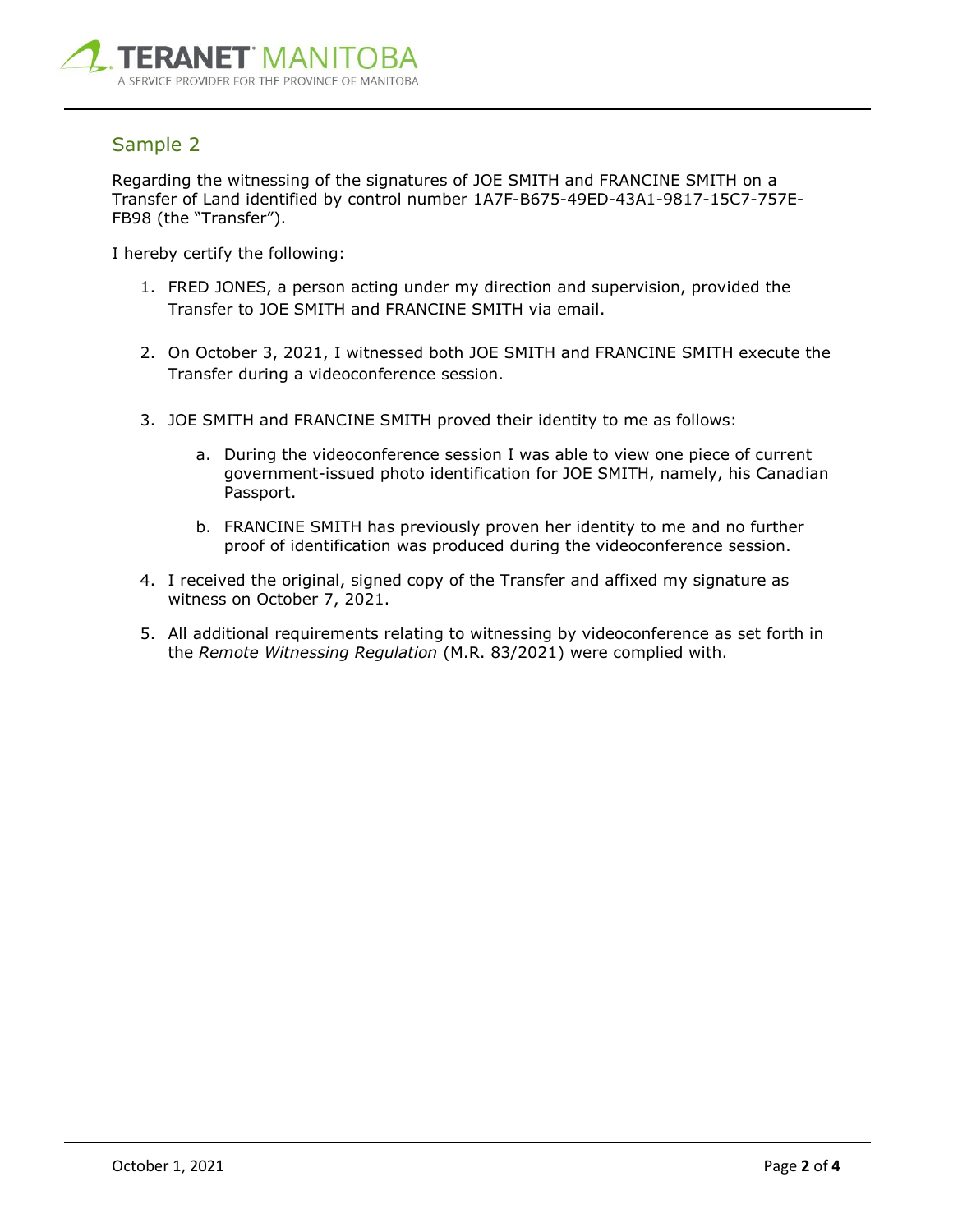

## Sample 2

Regarding the witnessing of the signatures of JOE SMITH and FRANCINE SMITH on a Transfer of Land identified by control number 1A7F-B675-49ED-43A1-9817-15C7-757E-FB98 (the "Transfer").

- 1. FRED JONES, a person acting under my direction and supervision, provided the Transfer to JOE SMITH and FRANCINE SMITH via email.
- 2. On October 3, 2021, I witnessed both JOE SMITH and FRANCINE SMITH execute the Transfer during a videoconference session.
- 3. JOE SMITH and FRANCINE SMITH proved their identity to me as follows:
	- a. During the videoconference session I was able to view one piece of current government-issued photo identification for JOE SMITH, namely, his Canadian Passport.
	- b. FRANCINE SMITH has previously proven her identity to me and no further proof of identification was produced during the videoconference session.
- 4. I received the original, signed copy of the Transfer and affixed my signature as witness on October 7, 2021.
- 5. All additional requirements relating to witnessing by videoconference as set forth in the *Remote Witnessing Regulation* (M.R. 83/2021) were complied with.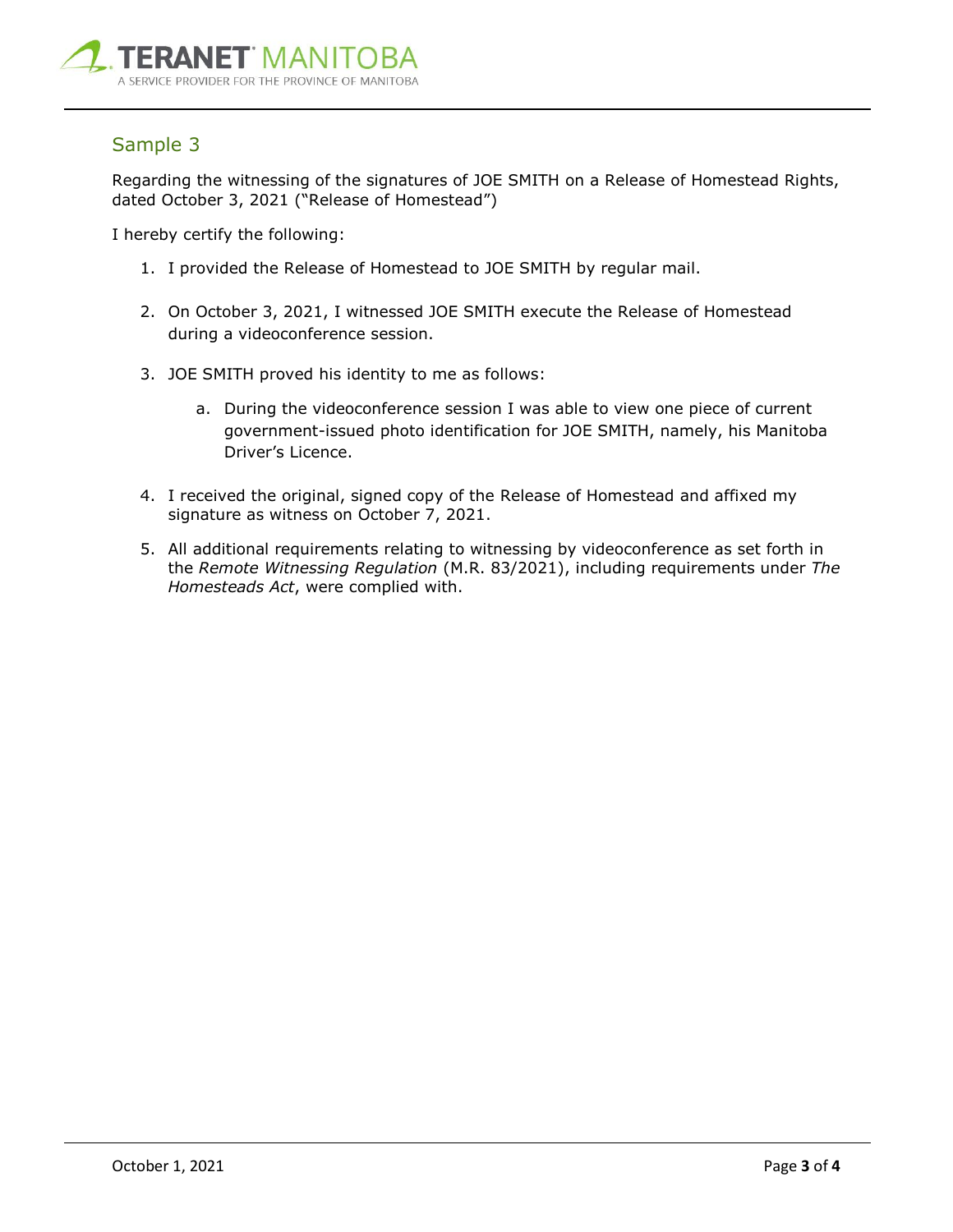

## Sample 3

Regarding the witnessing of the signatures of JOE SMITH on a Release of Homestead Rights, dated October 3, 2021 ("Release of Homestead")

- 1. I provided the Release of Homestead to JOE SMITH by regular mail.
- 2. On October 3, 2021, I witnessed JOE SMITH execute the Release of Homestead during a videoconference session.
- 3. JOE SMITH proved his identity to me as follows:
	- a. During the videoconference session I was able to view one piece of current government-issued photo identification for JOE SMITH, namely, his Manitoba Driver's Licence.
- 4. I received the original, signed copy of the Release of Homestead and affixed my signature as witness on October 7, 2021.
- 5. All additional requirements relating to witnessing by videoconference as set forth in the *Remote Witnessing Regulation* (M.R. 83/2021), including requirements under *The Homesteads Act*, were complied with.